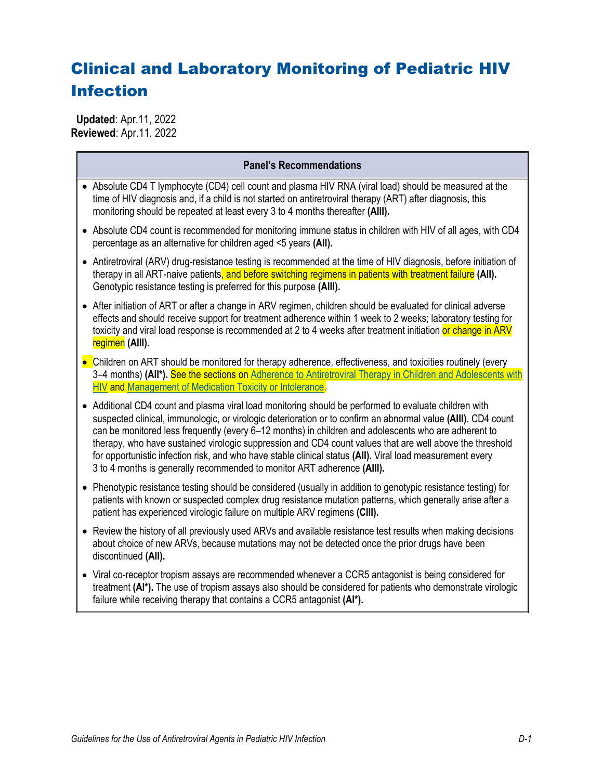# Clinical and Laboratory Monitoring of Pediatric HIV Infection

 **Updated**: Apr.11, 2022 **Reviewed**: Apr.11, 2022

| <b>Panel's Recommendations</b>                                                                                                                                                                                                                                                                                                                                                                                                                                                                                                                                                                                                     |
|------------------------------------------------------------------------------------------------------------------------------------------------------------------------------------------------------------------------------------------------------------------------------------------------------------------------------------------------------------------------------------------------------------------------------------------------------------------------------------------------------------------------------------------------------------------------------------------------------------------------------------|
| • Absolute CD4 T lymphocyte (CD4) cell count and plasma HIV RNA (viral load) should be measured at the<br>time of HIV diagnosis and, if a child is not started on antiretroviral therapy (ART) after diagnosis, this<br>monitoring should be repeated at least every 3 to 4 months thereafter (AIII).                                                                                                                                                                                                                                                                                                                              |
| • Absolute CD4 count is recommended for monitoring immune status in children with HIV of all ages, with CD4<br>percentage as an alternative for children aged <5 years (All).                                                                                                                                                                                                                                                                                                                                                                                                                                                      |
| • Antiretroviral (ARV) drug-resistance testing is recommended at the time of HIV diagnosis, before initiation of<br>therapy in all ART-naive patients, and before switching regimens in patients with treatment failure (AII).<br>Genotypic resistance testing is preferred for this purpose (AIII).                                                                                                                                                                                                                                                                                                                               |
| • After initiation of ART or after a change in ARV regimen, children should be evaluated for clinical adverse<br>effects and should receive support for treatment adherence within 1 week to 2 weeks; laboratory testing for<br>toxicity and viral load response is recommended at 2 to 4 weeks after treatment initiation or change in ARV<br>regimen (AIII).                                                                                                                                                                                                                                                                     |
| • Children on ART should be monitored for therapy adherence, effectiveness, and toxicities routinely (every<br>3–4 months) (All*). See the sections on Adherence to Antiretroviral Therapy in Children and Adolescents with<br>HIV and Management of Medication Toxicity or Intolerance.                                                                                                                                                                                                                                                                                                                                           |
| • Additional CD4 count and plasma viral load monitoring should be performed to evaluate children with<br>suspected clinical, immunologic, or virologic deterioration or to confirm an abnormal value (AIII). CD4 count<br>can be monitored less frequently (every 6-12 months) in children and adolescents who are adherent to<br>therapy, who have sustained virologic suppression and CD4 count values that are well above the threshold<br>for opportunistic infection risk, and who have stable clinical status (All). Viral load measurement every<br>3 to 4 months is generally recommended to monitor ART adherence (AIII). |
| • Phenotypic resistance testing should be considered (usually in addition to genotypic resistance testing) for<br>patients with known or suspected complex drug resistance mutation patterns, which generally arise after a<br>patient has experienced virologic failure on multiple ARV regimens (CIII).                                                                                                                                                                                                                                                                                                                          |
| Review the history of all previously used ARVs and available resistance test results when making decisions<br>about choice of new ARVs, because mutations may not be detected once the prior drugs have been<br>discontinued (All).                                                                                                                                                                                                                                                                                                                                                                                                |
| • Viral co-receptor tropism assays are recommended whenever a CCR5 antagonist is being considered for<br>treatment (AI*). The use of tropism assays also should be considered for patients who demonstrate virologic<br>failure while receiving therapy that contains a CCR5 antagonist (AI*).                                                                                                                                                                                                                                                                                                                                     |
|                                                                                                                                                                                                                                                                                                                                                                                                                                                                                                                                                                                                                                    |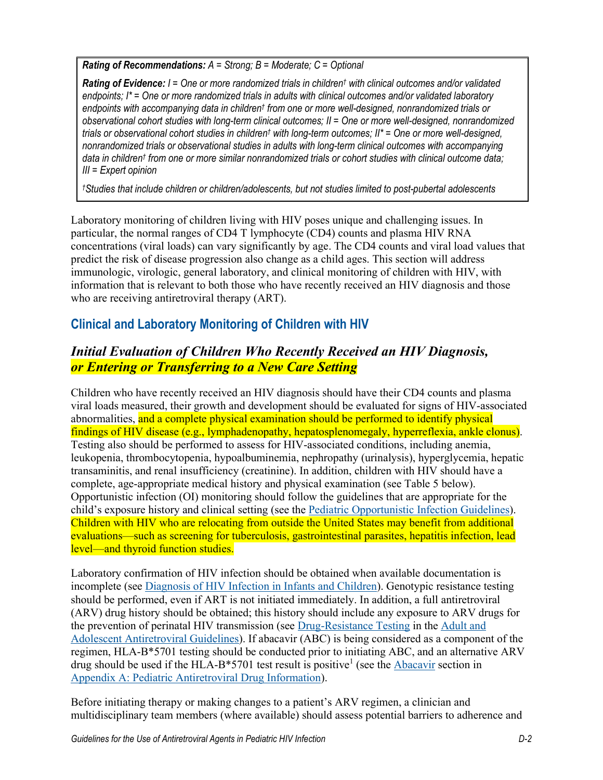*Rating of Recommendations: A = Strong; B = Moderate; C = Optional*

*Rating of Evidence: I = One or more randomized trials in children† with clinical outcomes and/or validated endpoints; I\* = One or more randomized trials in adults with clinical outcomes and/or validated laboratory endpoints with accompanying data in children† from one or more well-designed, nonrandomized trials or observational cohort studies with long-term clinical outcomes; II = One or more well-designed, nonrandomized trials or observational cohort studies in children† with long-term outcomes; II\* = One or more well-designed, nonrandomized trials or observational studies in adults with long-term clinical outcomes with accompanying data in children† from one or more similar nonrandomized trials or cohort studies with clinical outcome data; III = Expert opinion*

*†Studies that include children or children/adolescents, but not studies limited to post-pubertal adolescents*

Laboratory monitoring of children living with HIV poses unique and challenging issues. In particular, the normal ranges of CD4 T lymphocyte (CD4) counts and plasma HIV RNA concentrations (viral loads) can vary significantly by age. The CD4 counts and viral load values that predict the risk of disease progression also change as a child ages. This section will address immunologic, virologic, general laboratory, and clinical monitoring of children with HIV, with information that is relevant to both those who have recently received an HIV diagnosis and those who are receiving antiretroviral therapy (ART).

# **Clinical and Laboratory Monitoring of Children with HIV**

# *Initial Evaluation of Children Who Recently Received an HIV Diagnosis, or Entering or Transferring to a New Care Setting*

Children who have recently received an HIV diagnosis should have their CD4 counts and plasma viral loads measured, their growth and development should be evaluated for signs of HIV-associated abnormalities, and a complete physical examination should be performed to identify physical findings of HIV disease (e.g., lymphadenopathy, hepatosplenomegaly, hyperreflexia, ankle clonus). Testing also should be performed to assess for HIV-associated conditions, including anemia, leukopenia, thrombocytopenia, hypoalbuminemia, nephropathy (urinalysis), hyperglycemia, hepatic transaminitis, and renal insufficiency (creatinine). In addition, children with HIV should have a complete, age-appropriate medical history and physical examination (see Table 5 below). Opportunistic infection (OI) monitoring should follow the guidelines that are appropriate for the child's exposure history and clinical setting (see the [Pediatric Opportunistic Infection Guidelines\)](https://clinicalinfo.hiv.gov/en/guidelines/pediatric-opportunistic-infection/whats-new). Children with HIV who are relocating from outside the United States may benefit from additional evaluations—such as screening for tuberculosis, gastrointestinal parasites, hepatitis infection, lead level—and thyroid function studies.

Laboratory confirmation of HIV infection should be obtained when available documentation is incomplete (see [Diagnosis of HIV Infection](https://clinicalinfo.hiv.gov/en/guidelines/pediatric-arv/diagnosis-hiv-infection-infants-and-children) in Infants and Children). Genotypic resistance testing should be performed, even if ART is not initiated immediately. In addition, a full antiretroviral (ARV) drug history should be obtained; this history should include any exposure to ARV drugs for the prevention of perinatal HIV transmission (see [Drug-Resistance Testing](https://clinicalinfo.hiv.gov/en/guidelines/adult-and-adolescent-arv/drug-resistance-testing) in the [Adult and](https://clinicalinfo.hiv.gov/en/guidelines/adult-and-adolescent-arv/whats-new-guidelines)  [Adolescent Antiretroviral Guidelines\)](https://clinicalinfo.hiv.gov/en/guidelines/adult-and-adolescent-arv/whats-new-guidelines). If abacavir (ABC) is being considered as a component of the regimen, HLA-B\*5701 testing should be conducted prior to initiating ABC, and an alternative ARV drug should be used if the HLA-B\*570[1](#page-10-0) test result is positive<sup>1</sup> (see the [Abacavir](https://clinicalinfo.hiv.gov/en/guidelines/pediatric-arv/abacavir) section in Appendix [A: Pediatric Antiretroviral Drug Information\)](https://clinicalinfo.hiv.gov/en/guidelines/pediatric-arv/overview-0).

Before initiating therapy or making changes to a patient's ARV regimen, a clinician and multidisciplinary team members (where available) should assess potential barriers to adherence and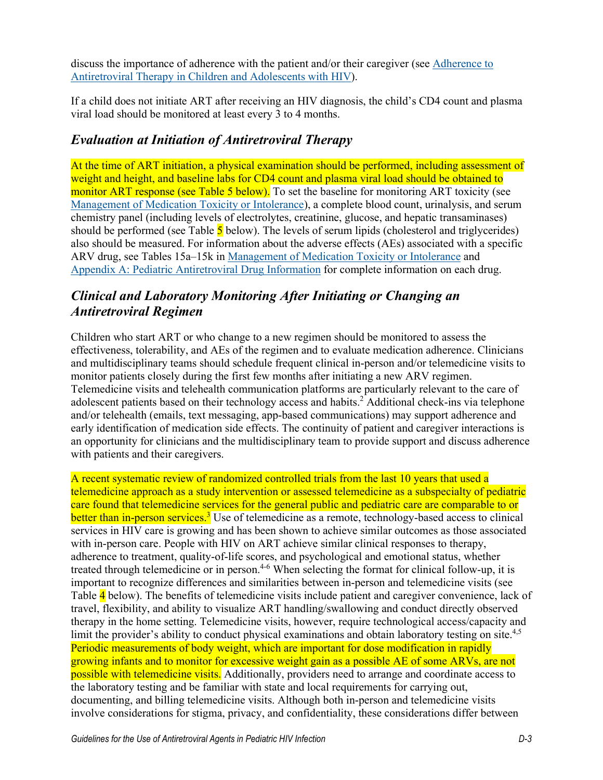discuss the importance of adherence with the patient and/or their caregiver (see [Adherence to](https://clinicalinfo.hiv.gov/en/guidelines/pediatric-arv/adherence-antiretroviral-therapy-children-and-adolescents-living-hiv)  [Antiretroviral Therapy in Children and Adolescents with HIV\)](https://clinicalinfo.hiv.gov/en/guidelines/pediatric-arv/adherence-antiretroviral-therapy-children-and-adolescents-living-hiv).

If a child does not initiate ART after receiving an HIV diagnosis, the child's CD4 count and plasma viral load should be monitored at least every 3 to 4 months.

## *Evaluation at Initiation of Antiretroviral Therapy*

At the time of ART initiation, a physical examination should be performed, including assessment of weight and height, and baseline labs for CD4 count and plasma viral load should be obtained to monitor ART response (see Table 5 below). To set the baseline for monitoring ART toxicity (see [Management of Medication Toxicity or Intolerance\)](https://clinicalinfo.hiv.gov/en/guidelines/pediatric-arv/overview-1), a complete blood count, urinalysis, and serum chemistry panel (including levels of electrolytes, creatinine, glucose, and hepatic transaminases) should be performed (see Table  $\overline{5}$  below). The levels of serum lipids (cholesterol and triglycerides) also should be measured. For information about the adverse effects (AEs) associated with a specific ARV drug, see Tables 15a–15k in [Management of Medication Toxicity or Intolerance](https://clinicalinfo.hiv.gov/en/guidelines/pediatric-arv/overview-1) and [Appendix](https://clinicalinfo.hiv.gov/en/guidelines/pediatric-arv/overview-0) [A: Pediatric Antiretroviral Drug Information](https://clinicalinfo.hiv.gov/en/guidelines/pediatric-arv/overview-0) for complete information on each drug.

# *Clinical and Laboratory Monitoring After Initiating or Changing an Antiretroviral Regimen*

Children who start ART or who change to a new regimen should be monitored to assess the effectiveness, tolerability, and AEs of the regimen and to evaluate medication adherence. Clinicians and multidisciplinary teams should schedule frequent clinical in-person and/or telemedicine visits to monitor patients closely during the first few months after initiating a new ARV regimen. Telemedicine visits and telehealth communication platforms are particularly relevant to the care of adolescent patients based on their technology access and habits[.](#page-10-1) <sup>2</sup> Additional check-ins via telephone and/or telehealth (emails, text messaging, app-based communications) may support adherence and early identification of medication side effects. The continuity of patient and caregiver interactions is an opportunity for clinicians and the multidisciplinary team to provide support and discuss adherence with patients and their caregivers.

A recent systematic review of randomized controlled trials from the last 10 years that used a telemedicine approach as a study intervention or assessed telemedicine as a subspecialty of pediatric care found that telemedicine services for the general public and pediatric care are comparable to or better than in-person services.<sup>3</sup> Use of telemedicine as a remote, technology-based access to clinical services in HIV care is growing and has been shown to achieve similar outcomes as those associated with in-person care. People with HIV on ART achieve similar clinical responses to therapy, adherence to treatment, quality-of-life scores, and psychological and emotional status, whether treated through telemedicine or in person.<sup>4-6</sup> When selecting the format for clinical follow-up, it is important to recognize differences and similarities between in-person and telemedicine visits (see Table 4 below). The benefits of telemedicine visits include patient and caregiver convenience, lack of travel, flexibility, and ability to visualize ART handling/swallowing and conduct directly observed therapy in the home setting. Telemedicine visits, however, require technological access/capacity and limit the provider's ability to conduct physical examinations and obtain laboratory testing on site.<sup>4[,5](#page-10-4)</sup> Periodic measurements of body weight, which are important for dose modification in rapidly growing infants and to monitor for excessive weight gain as a possible AE of some ARVs, are not possible with telemedicine visits. Additionally, providers need to arrange and coordinate access to the laboratory testing and be familiar with state and local requirements for carrying out, documenting, and billing telemedicine visits. Although both in-person and telemedicine visits involve considerations for stigma, privacy, and confidentiality, these considerations differ between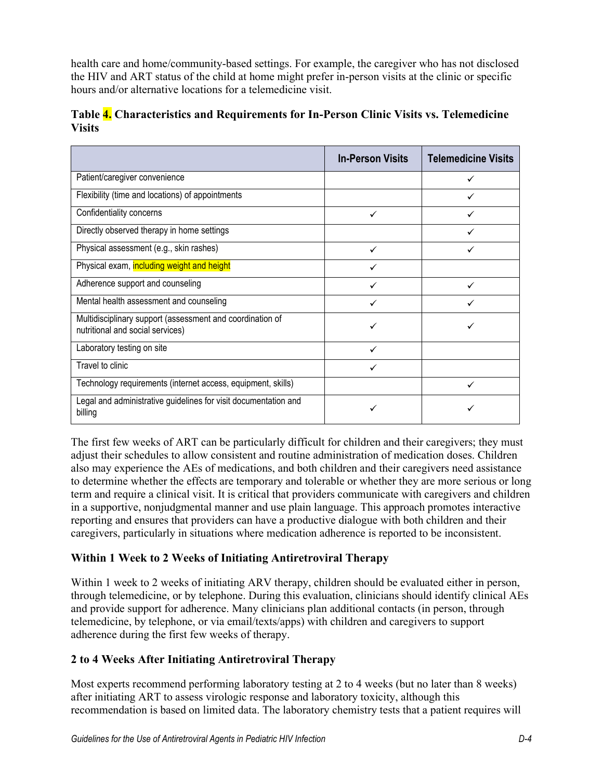health care and home/community-based settings. For example, the caregiver who has not disclosed the HIV and ART status of the child at home might prefer in-person visits at the clinic or specific hours and/or alternative locations for a telemedicine visit.

|               | Table 4. Characteristics and Requirements for In-Person Clinic Visits vs. Telemedicine |  |
|---------------|----------------------------------------------------------------------------------------|--|
| <b>Visits</b> |                                                                                        |  |

|                                                                                               | <b>In-Person Visits</b> | <b>Telemedicine Visits</b> |
|-----------------------------------------------------------------------------------------------|-------------------------|----------------------------|
| Patient/caregiver convenience                                                                 |                         |                            |
| Flexibility (time and locations) of appointments                                              |                         |                            |
| Confidentiality concerns                                                                      | ✓                       |                            |
| Directly observed therapy in home settings                                                    |                         |                            |
| Physical assessment (e.g., skin rashes)                                                       | ✓                       |                            |
| Physical exam, including weight and height                                                    | ✓                       |                            |
| Adherence support and counseling                                                              |                         |                            |
| Mental health assessment and counseling                                                       | ✓                       |                            |
| Multidisciplinary support (assessment and coordination of<br>nutritional and social services) | ✓                       |                            |
| Laboratory testing on site                                                                    | ✓                       |                            |
| Travel to clinic                                                                              |                         |                            |
| Technology requirements (internet access, equipment, skills)                                  |                         | ✓                          |
| Legal and administrative guidelines for visit documentation and<br>billing                    |                         |                            |

The first few weeks of ART can be particularly difficult for children and their caregivers; they must adjust their schedules to allow consistent and routine administration of medication doses. Children also may experience the AEs of medications, and both children and their caregivers need assistance to determine whether the effects are temporary and tolerable or whether they are more serious or long term and require a clinical visit. It is critical that providers communicate with caregivers and children in a supportive, nonjudgmental manner and use plain language. This approach promotes interactive reporting and ensures that providers can have a productive dialogue with both children and their caregivers, particularly in situations where medication adherence is reported to be inconsistent.

#### **Within 1 Week to 2 Weeks of Initiating Antiretroviral Therapy**

Within 1 week to 2 weeks of initiating ARV therapy, children should be evaluated either in person, through telemedicine, or by telephone. During this evaluation, clinicians should identify clinical AEs and provide support for adherence. Many clinicians plan additional contacts (in person, through telemedicine, by telephone, or via email/texts/apps) with children and caregivers to support adherence during the first few weeks of therapy.

#### **2 to 4 Weeks After Initiating Antiretroviral Therapy**

Most experts recommend performing laboratory testing at 2 to 4 weeks (but no later than 8 weeks) after initiating ART to assess virologic response and laboratory toxicity, although this recommendation is based on limited data. The laboratory chemistry tests that a patient requires will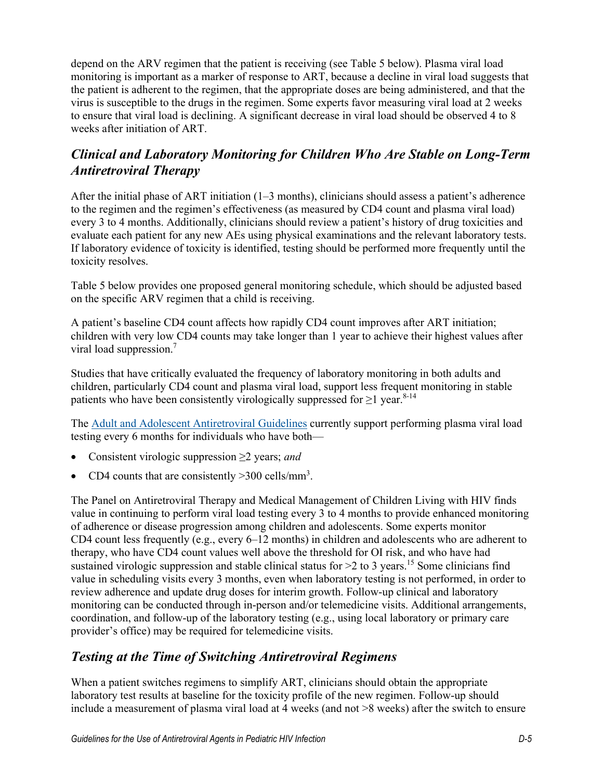depend on the ARV regimen that the patient is receiving (see Table 5 below). Plasma viral load monitoring is important as a marker of response to ART, because a decline in viral load suggests that the patient is adherent to the regimen, that the appropriate doses are being administered, and that the virus is susceptible to the drugs in the regimen. Some experts favor measuring viral load at 2 weeks to ensure that viral load is declining. A significant decrease in viral load should be observed 4 to 8 weeks after initiation of ART.

# *Clinical and Laboratory Monitoring for Children Who Are Stable on Long-Term Antiretroviral Therapy*

After the initial phase of ART initiation  $(1-3 \text{ months})$ , clinicians should assess a patient's adherence to the regimen and the regimen's effectiveness (as measured by CD4 count and plasma viral load) every 3 to 4 months. Additionally, clinicians should review a patient's history of drug toxicities and evaluate each patient for any new AEs using physical examinations and the relevant laboratory tests. If laboratory evidence of toxicity is identified, testing should be performed more frequently until the toxicity resolves.

Table 5 below provides one proposed general monitoring schedule, which should be adjusted based on the specific ARV regimen that a child is receiving.

A patient's baseline CD4 count affects how rapidly CD4 count improves after ART initiation; children with very low CD4 counts may take longer than 1 year to achieve their highest values after viral load suppression.<sup>[7](#page-10-5)</sup>

Studies that have critically evaluated the frequency of laboratory monitoring in both adults and children, particularly CD4 count and plasma viral load, support less frequent monitoring in stable patients who have been consistently virologically suppressed for  $\geq 1$  year.<sup>8-14</sup>

The [Adult and Adolescent](https://clinicalinfo.hiv.gov/en/guidelines/adult-and-adolescent-arv/plasma-hiv-1-rna-viral-load-and-cd4-count-monitoring) Antiretroviral Guidelines currently support performing plasma viral load testing every 6 months for individuals who have both—

- Consistent virologic suppression ≥2 years; *and*
- CD4 counts that are consistently  $>$ 300 cells/mm<sup>3</sup>.

The Panel on Antiretroviral Therapy and Medical Management of Children Living with HIV finds value in continuing to perform viral load testing every 3 to 4 months to provide enhanced monitoring of adherence or disease progression among children and adolescents. Some experts monitor CD4 count less frequently (e.g., every 6–12 months) in children and adolescents who are adherent to therapy, who have CD4 count values well above the threshold for OI risk, and who have had sustained virologic suppression and stable clinical status for >2 to 3 years.<sup>[15](#page-11-0)</sup> Some clinicians find value in scheduling visits every 3 months, even when laboratory testing is not performed, in order to review adherence and update drug doses for interim growth. Follow-up clinical and laboratory monitoring can be conducted through in-person and/or telemedicine visits. Additional arrangements, coordination, and follow-up of the laboratory testing (e.g., using local laboratory or primary care provider's office) may be required for telemedicine visits.

## *Testing at the Time of Switching Antiretroviral Regimens*

When a patient switches regimens to simplify ART, clinicians should obtain the appropriate laboratory test results at baseline for the toxicity profile of the new regimen. Follow-up should include a measurement of plasma viral load at 4 weeks (and not >8 weeks) after the switch to ensure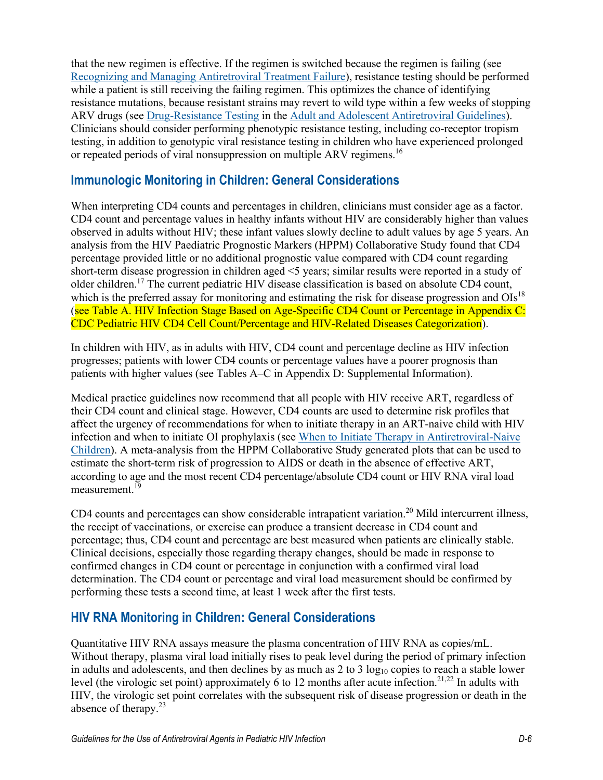that the new regimen is effective. If the regimen is switched because the regimen is failing (see [Recognizing and Managing Antiretroviral Treatment Failure\)](https://clinicalinfo.hiv.gov/en/guidelines/pediatric-arv/recognizing-and-managing-antiretroviral-treatment-failure), resistance testing should be performed while a patient is still receiving the failing regimen. This optimizes the chance of identifying resistance mutations, because resistant strains may revert to wild type within a few weeks of stopping ARV drugs (see [Drug-Resistance Testing](https://clinicalinfo.hiv.gov/en/guidelines/adult-and-adolescent-arv/drug-resistance-testing) in the [Adult and Adolescent Antiretroviral Guidelines\)](https://clinicalinfo.hiv.gov/en/guidelines/adult-and-adolescent-arv/whats-new-guidelines). Clinicians should consider performing phenotypic resistance testing, including co-receptor tropism testing, in addition to genotypic viral resistance testing in children who have experienced prolonged or repeated periods of viral nonsuppression on multiple ARV regimens.<sup>[16](#page-11-1)</sup>

## **Immunologic Monitoring in Children: General Considerations**

When interpreting CD4 counts and percentages in children, clinicians must consider age as a factor. CD4 count and percentage values in healthy infants without HIV are considerably higher than values observed in adults without HIV; these infant values slowly decline to adult values by age 5 years. An analysis from the HIV Paediatric Prognostic Markers (HPPM) Collaborative Study found that CD4 percentage provided little or no additional prognostic value compared with CD4 count regarding short-term disease progression in children aged <5 years; similar results were reported in a study of older children.<sup>[17](#page-11-2)</sup> The current pediatric HIV disease classification is based on absolute CD4 count, which is the preferred assay for monitoring and estimating the risk for disease progression and  $OIs^{18}$  $OIs^{18}$  $OIs^{18}$ (see Table A. HIV Infection Stage Based on Age-Specific CD4 Count or Percentage in Appendix C: CDC Pediatric HIV CD4 Cell Count/Percentage and HIV-Related Diseases Categorization).

In children with HIV, as in adults with HIV, CD4 count and percentage decline as HIV infection progresses; patients with lower CD4 counts or percentage values have a poorer prognosis than patients with higher values (see Tables A–C in Appendix D: Supplemental Information).

Medical practice guidelines now recommend that all people with HIV receive ART, regardless of their CD4 count and clinical stage. However, CD4 counts are used to determine risk profiles that affect the urgency of recommendations for when to initiate therapy in an ART-naive child with HIV infection and when to initiate OI prophylaxis (see When to Initiate [Therapy in Antiretroviral-Naive](https://clinicalinfo.hiv.gov/en/guidelines/pediatric-arv/when-initiate-therapy-antiretroviral-naive-children)  [Children\)](https://clinicalinfo.hiv.gov/en/guidelines/pediatric-arv/when-initiate-therapy-antiretroviral-naive-children). A meta-analysis from the HPPM Collaborative Study generated plots that can be used to estimate the short-term risk of progression to AIDS or death in the absence of effective ART, according to age and the most recent CD4 percentage/absolute CD4 count or HIV RNA viral load  $measured$ measurement.<sup> $1\overline{9}$ </sup>

CD4 counts and percentages can show considerable intrapatient variation.<sup>[20](#page-11-5)</sup> Mild intercurrent illness, the receipt of vaccinations, or exercise can produce a transient decrease in CD4 count and percentage; thus, CD4 count and percentage are best measured when patients are clinically stable. Clinical decisions, especially those regarding therapy changes, should be made in response to confirmed changes in CD4 count or percentage in conjunction with a confirmed viral load determination. The CD4 count or percentage and viral load measurement should be confirmed by performing these tests a second time, at least 1 week after the first tests.

# **HIV RNA Monitoring in Children: General Considerations**

Quantitative HIV RNA assays measure the plasma concentration of HIV RNA as copies/mL. Without therapy, plasma viral load initially rises to peak level during the period of primary infection in adults and adolescents, and then declines by as much as  $2$  to  $3 \log_{10}$  copies to reach a stable lower level (the virologic set point) approximately 6 to 12 months after acute infection.<sup>[21,](#page-11-6)[22](#page-11-7)</sup> In adults with HIV, the virologic set point correlates with the subsequent risk of disease progression or death in the absence of therapy.<sup>[23](#page-11-8)</sup>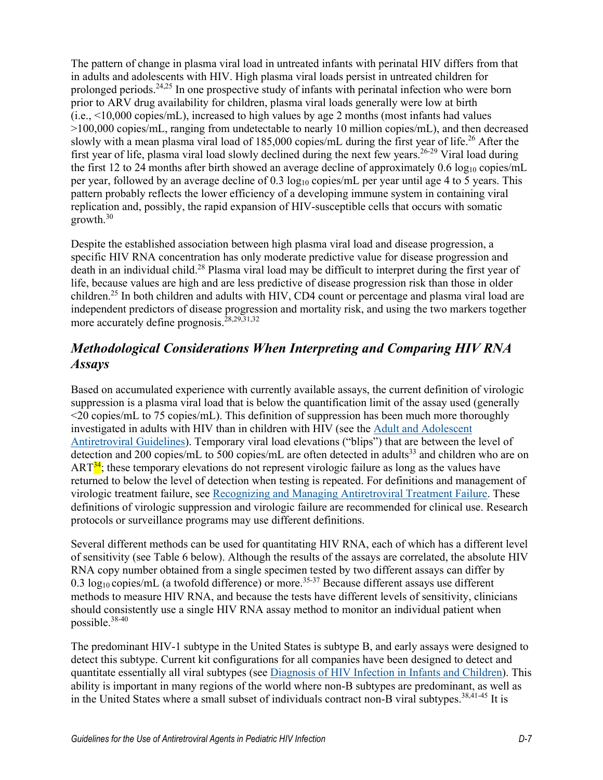The pattern of change in plasma viral load in untreated infants with perinatal HIV differs from that in adults and adolescents with HIV. High plasma viral loads persist in untreated children for prolonged periods.<sup>[24,](#page-12-0)[25](#page-12-1)</sup> In one prospective study of infants with perinatal infection who were born prior to ARV drug availability for children, plasma viral loads generally were low at birth (i.e., <10,000 copies/mL), increased to high values by age 2 months (most infants had values >100,000 copies/mL, ranging from undetectable to nearly 10 million copies/mL), and then decreased slowly with a mean plasma viral load of 185,000 copies/mL during the first year of life.<sup>[26](#page-12-2)</sup> After the first year of life, plasma viral load slowly declined during the next few years.<sup>[26-29](#page-12-2)</sup> Viral load during the first 12 to 24 months after birth showed an average decline of approximately 0.6  $log_{10}$  copies/mL per year, followed by an average decline of 0.3 log<sub>10</sub> copies/mL per year until age 4 to 5 years. This pattern probably reflects the lower efficiency of a developing immune system in containing viral replication and, possibly, the rapid expansion of HIV-susceptible cells that occurs with somatic growth. [30](#page-12-3)

Despite the established association between high plasma viral load and disease progression, a specific HIV RNA concentration has only moderate predictive value for disease progression and death in an individual child.<sup>[28](#page-12-4)</sup> Plasma viral load may be difficult to interpret during the first year of life, because values are high and are less predictive of disease progression risk than those in older children.<sup>[25](#page-12-1)</sup> In both children and adults with HIV, CD4 count or percentage and plasma viral load are independent predictors of disease progression and mortality risk, and using the two markers together more accurately define prognosis.<sup>[28,](#page-12-4)[29,](#page-12-5)[31](#page-12-6)[,32](#page-12-7)</sup>

# *Methodological Considerations When Interpreting and Comparing HIV RNA Assays*

Based on accumulated experience with currently available assays, the current definition of virologic suppression is a plasma viral load that is below the quantification limit of the assay used (generally <20 copies/mL to 75 copies/mL). This definition of suppression has been much more thoroughly investigated in adults with HIV than in children with HIV (see the [Adult and Adolescent](https://clinicalinfo.hiv.gov/en/guidelines/adult-and-adolescent-arv/whats-new-guidelines)  [Antiretroviral Guidelines\)](https://clinicalinfo.hiv.gov/en/guidelines/adult-and-adolescent-arv/whats-new-guidelines). Temporary viral load elevations ("blips") that are between the level of detection and 200 copies/mL to 500 copies/mL are often detected in adults<sup>33</sup> and children who are on  $ART^{34}$ ; these temporary elevations do not represent virologic failure as long as the values have returned to below the level of detection when testing is repeated. For definitions and management of virologic treatment failure, see [Recognizing and Managing Antiretroviral Treatment Failure.](https://clinicalinfo.hiv.gov/en/guidelines/pediatric-arv/recognizing-and-managing-antiretroviral-treatment-failure) These definitions of virologic suppression and virologic failure are recommended for clinical use. Research protocols or surveillance programs may use different definitions.

Several different methods can be used for quantitating HIV RNA, each of which has a different level of sensitivity (see Table 6 below). Although the results of the assays are correlated, the absolute HIV RNA copy number obtained from a single specimen tested by two different assays can differ by 0.3  $log_{10}$  copies/mL (a twofold difference) or more.<sup>[35-37](#page-12-10)</sup> Because different assays use different methods to measure HIV RNA, and because the tests have different levels of sensitivity, clinicians should consistently use a single HIV RNA assay method to monitor an individual patient when possible. [38-40](#page-13-0)

The predominant HIV-1 subtype in the United States is subtype B, and early assays were designed to detect this subtype. Current kit configurations for all companies have been designed to detect and quantitate essentially all viral subtypes (see [Diagnosis of HIV Infection](https://clinicalinfo.hiv.gov/en/guidelines/pediatric-arv/diagnosis-hiv-infection-infants-and-children) in Infants and Children). This ability is important in many regions of the world where non-B subtypes are predominant, as well as in the United States where a small subset of individuals contract non-B viral subtypes. [38](#page-13-0)[,41-45](#page-13-1) It is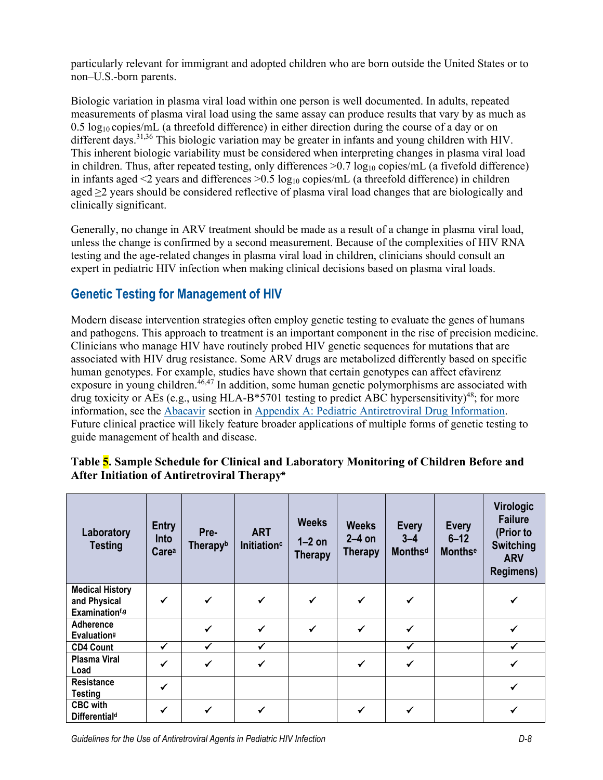particularly relevant for immigrant and adopted children who are born outside the United States or to non–U.S.-born parents.

Biologic variation in plasma viral load within one person is well documented. In adults, repeated measurements of plasma viral load using the same assay can produce results that vary by as much as  $0.5 \log_{10}$  copies/mL (a threefold difference) in either direction during the course of a day or on different days.<sup>[31,](#page-12-6)[36](#page-13-2)</sup> This biologic variation may be greater in infants and young children with HIV. This inherent biologic variability must be considered when interpreting changes in plasma viral load in children. Thus, after repeated testing, only differences  $>0.7 \log_{10}$  copies/mL (a fivefold difference) in infants aged  $\leq$  years and differences  $\geq$  0.5 log<sub>10</sub> copies/mL (a threefold difference) in children aged ≥2 years should be considered reflective of plasma viral load changes that are biologically and clinically significant.

Generally, no change in ARV treatment should be made as a result of a change in plasma viral load, unless the change is confirmed by a second measurement. Because of the complexities of HIV RNA testing and the age-related changes in plasma viral load in children, clinicians should consult an expert in pediatric HIV infection when making clinical decisions based on plasma viral loads.

# **Genetic Testing for Management of HIV**

Modern disease intervention strategies often employ genetic testing to evaluate the genes of humans and pathogens. This approach to treatment is an important component in the rise of precision medicine. Clinicians who manage HIV have routinely probed HIV genetic sequences for mutations that are associated with HIV drug resistance. Some ARV drugs are metabolized differently based on specific human genotypes. For example, studies have shown that certain genotypes can affect efavirenz exposure in young children.<sup>[46,](#page-14-0)[47](#page-14-1)</sup> In addition, some human genetic polymorphisms are associated with drug toxicity or AEs (e.g., using HLA-B\*5701 testing to predict ABC hypersensitivity)<sup>48</sup>; for more information, see the [Abacavir](https://clinicalinfo.hiv.gov/en/guidelines/pediatric-arv/abacavir) section in [Appendix A: Pediatric Antiretroviral Drug Information.](https://clinicalinfo.hiv.gov/en/guidelines/pediatric-arv/overview-0) Future clinical practice will likely feature broader applications of multiple forms of genetic testing to guide management of health and disease.

| Laboratory<br><b>Testing</b>                                         | <b>Entry</b><br>Into<br>Carea | Pre-<br>Therapyb | <b>ART</b><br>Initiation <sup>c</sup> | <b>Weeks</b><br>$1-2$ on<br><b>Therapy</b> | <b>Weeks</b><br>$2-4$ on<br><b>Therapy</b> | <b>Every</b><br>$3 - 4$<br><b>Monthsd</b> | <b>Every</b><br>$6 - 12$<br><b>Monthse</b> | <b>Virologic</b><br><b>Failure</b><br>(Prior to<br><b>Switching</b><br><b>ARV</b><br><b>Regimens)</b> |
|----------------------------------------------------------------------|-------------------------------|------------------|---------------------------------------|--------------------------------------------|--------------------------------------------|-------------------------------------------|--------------------------------------------|-------------------------------------------------------------------------------------------------------|
| <b>Medical History</b><br>and Physical<br>Examination <sup>f,g</sup> | ✓                             | ✔                | $\checkmark$                          | $\checkmark$                               | $\checkmark$                               | ✔                                         |                                            |                                                                                                       |
| <b>Adherence</b><br><b>Evaluation</b> <sup>9</sup>                   |                               |                  | $\checkmark$                          | $\checkmark$                               | $\checkmark$                               | ✔                                         |                                            |                                                                                                       |
| <b>CD4 Count</b>                                                     | $\checkmark$                  | $\checkmark$     | $\checkmark$                          |                                            |                                            | $\checkmark$                              |                                            | ✓                                                                                                     |
| <b>Plasma Viral</b><br>Load                                          | ✓                             | ✓                | $\checkmark$                          |                                            | $\checkmark$                               | ✓                                         |                                            | ✓                                                                                                     |
| <b>Resistance</b><br><b>Testing</b>                                  | ✓                             |                  |                                       |                                            |                                            |                                           |                                            |                                                                                                       |
| <b>CBC</b> with<br><b>Differentiald</b>                              |                               |                  | ✓                                     |                                            | ✔                                          |                                           |                                            |                                                                                                       |

#### **Table 5. Sample Schedule for Clinical and Laboratory Monitoring of Children Before and After Initiation of Antiretroviral Therapya**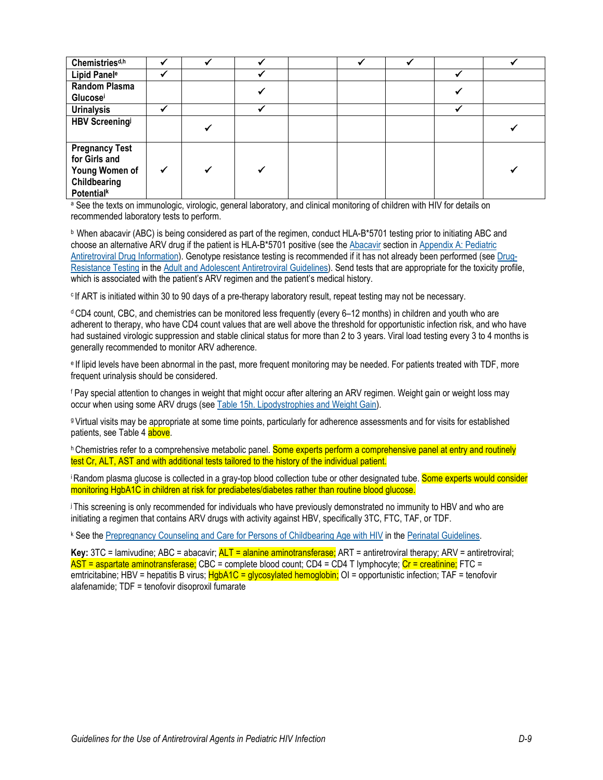| Chemistries <sup>d,h</sup>                                                                    |  |  |  |  |
|-----------------------------------------------------------------------------------------------|--|--|--|--|
| Lipid Panel <sup>e</sup>                                                                      |  |  |  |  |
| <b>Random Plasma</b>                                                                          |  |  |  |  |
| Glucosei                                                                                      |  |  |  |  |
| <b>Urinalysis</b>                                                                             |  |  |  |  |
| <b>HBV Screeningi</b>                                                                         |  |  |  |  |
| <b>Pregnancy Test</b><br>for Girls and<br>Young Women of<br>Childbearing<br><b>Potentialk</b> |  |  |  |  |

a See the texts on immunologic, virologic, general laboratory, and clinical monitoring of children with HIV for details on recommended laboratory tests to perform.

<sup>b</sup> When abacavir (ABC) is being considered as part of the regimen, conduct HLA-B\*5701 testing prior to initiating ABC and choose an alternative ARV drug if the patient is HLA-B\*5701 positive (see the [Abacavir](https://clinicalinfo.hiv.gov/en/guidelines/pediatric-arv/abacavir) section in [Appendix A: Pediatric](https://clinicalinfo.hiv.gov/en/guidelines/pediatric-arv/overview-0)  [Antiretroviral Drug Information\)](https://clinicalinfo.hiv.gov/en/guidelines/pediatric-arv/overview-0). Genotype resistance testing is recommended if it has not already been performed (see [Drug-](https://clinicalinfo.hiv.gov/en/guidelines/adult-and-adolescent-arv/drug-resistance-testing)[Resistance Testing](https://clinicalinfo.hiv.gov/en/guidelines/adult-and-adolescent-arv/drug-resistance-testing) in the [Adult and Adolescent Antiretroviral Guidelines\)](https://clinicalinfo.hiv.gov/en/guidelines/adult-and-adolescent-arv/whats-new-guidelines). Send tests that are appropriate for the toxicity profile, which is associated with the patient's ARV regimen and the patient's medical history.

<sup>c</sup> If ART is initiated within 30 to 90 days of a pre-therapy laboratory result, repeat testing may not be necessary.

<sup>d</sup> CD4 count, CBC, and chemistries can be monitored less frequently (every 6–12 months) in children and youth who are adherent to therapy, who have CD4 count values that are well above the threshold for opportunistic infection risk, and who have had sustained virologic suppression and stable clinical status for more than 2 to 3 years. Viral load testing every 3 to 4 months is generally recommended to monitor ARV adherence.

<sup>e</sup> If lipid levels have been abnormal in the past, more frequent monitoring may be needed. For patients treated with TDF, more frequent urinalysis should be considered.

<sup>f</sup> Pay special attention to changes in weight that might occur after altering an ARV regimen. Weight gain or weight loss may occur when using some ARV drugs (see Table 15h. [Lipodystrophies and Weight Gain\)](https://clinicalinfo.hiv.gov/en/table/table-15h-antiretroviral-therapy-associated-adverse-effects-and-management-recommendations).

g Virtual visits may be appropriate at some time points, particularly for adherence assessments and for visits for established patients, see Table 4 above.

h Chemistries refer to a comprehensive metabolic panel. Some experts perform a comprehensive panel at entry and routinely test Cr, ALT, AST and with additional tests tailored to the history of the individual patient.

i Random plasma glucose is collected in a gray-top blood collection tube or other designated tube. Some experts would consider monitoring HgbA1C in children at risk for prediabetes/diabetes rather than routine blood glucose.

j I This screening is only recommended for individuals who have previously demonstrated no immunity to HBV and who are initiating a regimen that contains ARV drugs with activity against HBV, specifically 3TC, FTC, TAF, or TDF.

<sup>k</sup> See th[e Prepregnancy Counseling and Care for Persons of Childbearing Age with HIV](https://clinicalinfo.hiv.gov/en/guidelines/perinatal/overview-1) in the [Perinatal Guidelines.](https://clinicalinfo.hiv.gov/en/guidelines/perinatal/whats-new-guidelines)

**Key:** 3TC = lamivudine; ABC = abacavir; ALT = alanine aminotransferase; ART = antiretroviral therapy; ARV = antiretroviral; AST = aspartate aminotransferase; CBC = complete blood count; CD4 = CD4 T lymphocyte; Cr = creatinine; FTC = emtricitabine; HBV = hepatitis B virus; HgbA1C = glycosylated hemoglobin; OI = opportunistic infection; TAF = tenofovir alafenamide; TDF = tenofovir disoproxil fumarate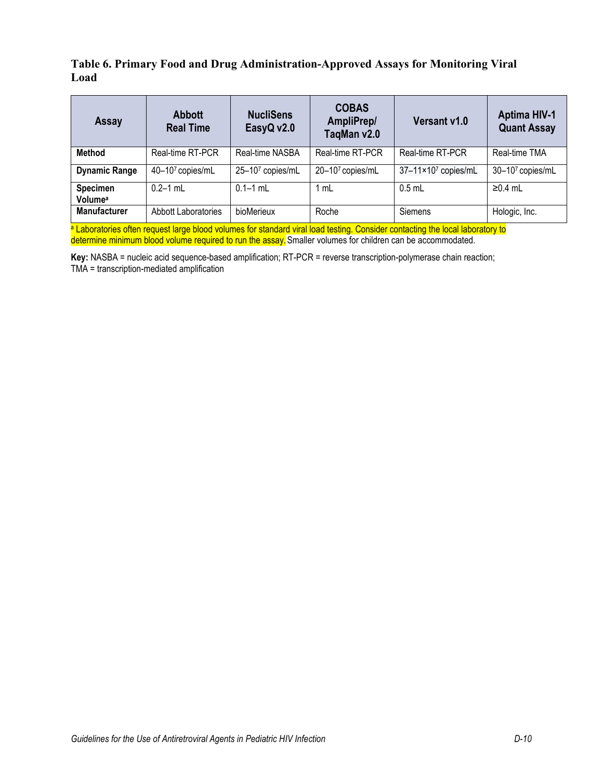#### **Table 6. Primary Food and Drug Administration-Approved Assays for Monitoring Viral Load**

| <b>Assay</b>                    | <b>Abbott</b><br><b>Real Time</b> | <b>COBAS</b><br><b>NucliSens</b><br>AmpliPrep/<br>EasyQ v2.0<br>TaqMan v2.0 |                  | Versant v1.0        | <b>Aptima HIV-1</b><br><b>Quant Assay</b> |
|---------------------------------|-----------------------------------|-----------------------------------------------------------------------------|------------------|---------------------|-------------------------------------------|
| Method                          | Real-time RT-PCR                  | Real-time NASBA                                                             | Real-time RT-PCR | Real-time RT-PCR    | Real-time TMA                             |
| <b>Dynamic Range</b>            | 40-107 copies/mL                  | 25-107 copies/mL                                                            | 20-107 copies/mL | 37-11×107 copies/mL | 30-107 copies/mL                          |
| Specimen<br>Volume <sup>a</sup> | $0.2 - 1$ mL                      | $0.1 - 1$ mL                                                                | 1 mL             | $0.5$ mL            | $\geq$ 0.4 mL                             |
| <b>Manufacturer</b>             | Abbott Laboratories               | bioMerieux                                                                  | Roche            | Siemens             | Hologic, Inc.                             |

a Laboratories often request large blood volumes for standard viral load testing. Consider contacting the local laboratory to determine minimum blood volume required to run the assay. Smaller volumes for children can be accommodated.

**Key:** NASBA = nucleic acid sequence-based amplification; RT-PCR = reverse transcription-polymerase chain reaction; TMA = transcription-mediated amplification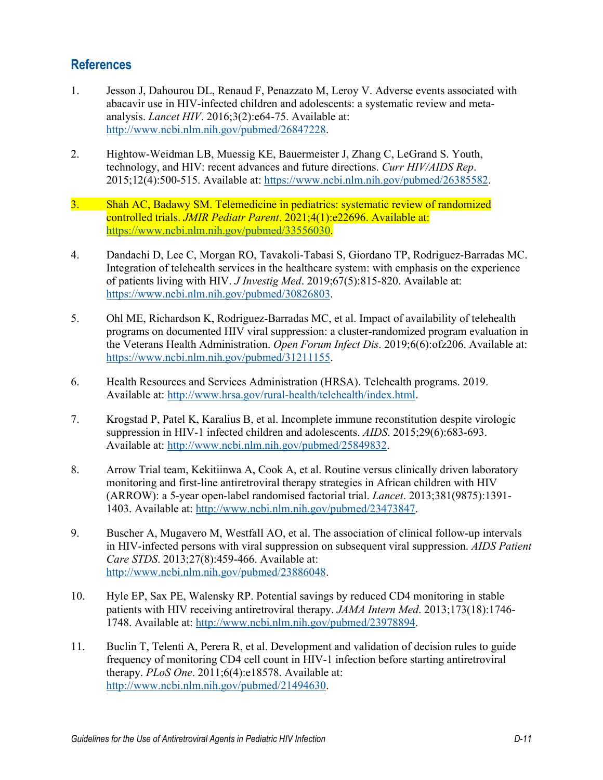## **References**

- <span id="page-10-0"></span>1. Jesson J, Dahourou DL, Renaud F, Penazzato M, Leroy V. Adverse events associated with abacavir use in HIV-infected children and adolescents: a systematic review and metaanalysis. *Lancet HIV*. 2016;3(2):e64-75. Available at: [http://www.ncbi.nlm.nih.gov/pubmed/26847228.](http://www.ncbi.nlm.nih.gov/pubmed/26847228)
- <span id="page-10-1"></span>2. Hightow-Weidman LB, Muessig KE, Bauermeister J, Zhang C, LeGrand S. Youth, technology, and HIV: recent advances and future directions. *Curr HIV/AIDS Rep*. 2015;12(4):500-515. Available at: [https://www.ncbi.nlm.nih.gov/pubmed/26385582.](https://www.ncbi.nlm.nih.gov/pubmed/26385582)
- <span id="page-10-2"></span>3. Shah AC, Badawy SM. Telemedicine in pediatrics: systematic review of randomized controlled trials. *JMIR Pediatr Parent*. 2021;4(1):e22696. Available at: [https://www.ncbi.nlm.nih.gov/pubmed/33556030.](https://www.ncbi.nlm.nih.gov/pubmed/33556030)
- <span id="page-10-3"></span>4. Dandachi D, Lee C, Morgan RO, Tavakoli-Tabasi S, Giordano TP, Rodriguez-Barradas MC. Integration of telehealth services in the healthcare system: with emphasis on the experience of patients living with HIV. *J Investig Med*. 2019;67(5):815-820. Available at: [https://www.ncbi.nlm.nih.gov/pubmed/30826803.](https://www.ncbi.nlm.nih.gov/pubmed/30826803)
- <span id="page-10-4"></span>5. Ohl ME, Richardson K, Rodriguez-Barradas MC, et al. Impact of availability of telehealth programs on documented HIV viral suppression: a cluster-randomized program evaluation in the Veterans Health Administration. *Open Forum Infect Dis*. 2019;6(6):ofz206. Available at: [https://www.ncbi.nlm.nih.gov/pubmed/31211155.](https://www.ncbi.nlm.nih.gov/pubmed/31211155)
- 6. Health Resources and Services Administration (HRSA). Telehealth programs. 2019. Available at: [http://www.hrsa.gov/rural-health/telehealth/index.html.](http://www.hrsa.gov/rural-health/telehealth/index.html)
- <span id="page-10-5"></span>7. Krogstad P, Patel K, Karalius B, et al. Incomplete immune reconstitution despite virologic suppression in HIV-1 infected children and adolescents. *AIDS*. 2015;29(6):683-693. Available at: [http://www.ncbi.nlm.nih.gov/pubmed/25849832.](http://www.ncbi.nlm.nih.gov/pubmed/25849832)
- <span id="page-10-6"></span>8. Arrow Trial team, Kekitiinwa A, Cook A, et al. Routine versus clinically driven laboratory monitoring and first-line antiretroviral therapy strategies in African children with HIV (ARROW): a 5-year open-label randomised factorial trial. *Lancet*. 2013;381(9875):1391- 1403. Available at: [http://www.ncbi.nlm.nih.gov/pubmed/23473847.](http://www.ncbi.nlm.nih.gov/pubmed/23473847)
- 9. Buscher A, Mugavero M, Westfall AO, et al. The association of clinical follow-up intervals in HIV-infected persons with viral suppression on subsequent viral suppression. *AIDS Patient Care STDS*. 2013;27(8):459-466. Available at: [http://www.ncbi.nlm.nih.gov/pubmed/23886048.](http://www.ncbi.nlm.nih.gov/pubmed/23886048)
- 10. Hyle EP, Sax PE, Walensky RP. Potential savings by reduced CD4 monitoring in stable patients with HIV receiving antiretroviral therapy. *JAMA Intern Med*. 2013;173(18):1746- 1748. Available at: [http://www.ncbi.nlm.nih.gov/pubmed/23978894.](http://www.ncbi.nlm.nih.gov/pubmed/23978894)
- 11. Buclin T, Telenti A, Perera R, et al. Development and validation of decision rules to guide frequency of monitoring CD4 cell count in HIV-1 infection before starting antiretroviral therapy. *PLoS One*. 2011;6(4):e18578. Available at: [http://www.ncbi.nlm.nih.gov/pubmed/21494630.](http://www.ncbi.nlm.nih.gov/pubmed/21494630)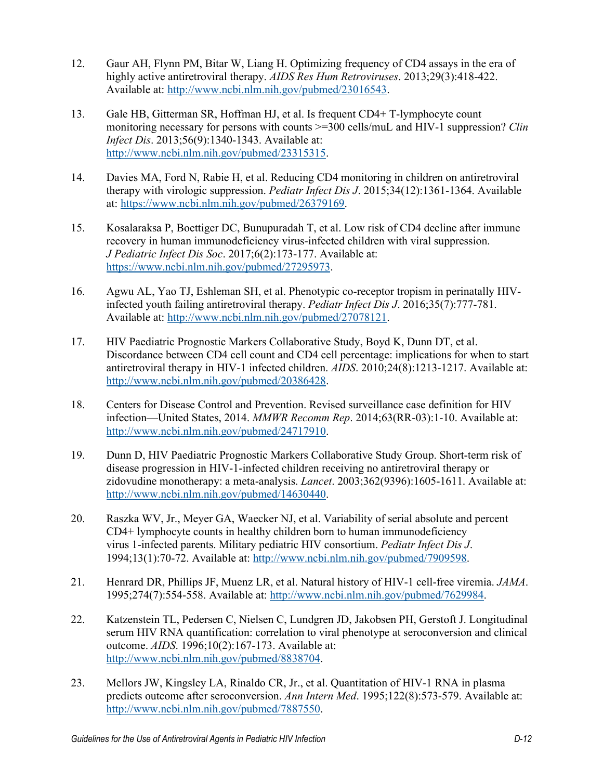- 12. Gaur AH, Flynn PM, Bitar W, Liang H. Optimizing frequency of CD4 assays in the era of highly active antiretroviral therapy. *AIDS Res Hum Retroviruses*. 2013;29(3):418-422. Available at: [http://www.ncbi.nlm.nih.gov/pubmed/23016543.](http://www.ncbi.nlm.nih.gov/pubmed/23016543)
- 13. Gale HB, Gitterman SR, Hoffman HJ, et al. Is frequent CD4+ T-lymphocyte count monitoring necessary for persons with counts >=300 cells/muL and HIV-1 suppression? *Clin Infect Dis*. 2013;56(9):1340-1343. Available at: [http://www.ncbi.nlm.nih.gov/pubmed/23315315.](http://www.ncbi.nlm.nih.gov/pubmed/23315315)
- 14. Davies MA, Ford N, Rabie H, et al. Reducing CD4 monitoring in children on antiretroviral therapy with virologic suppression. *Pediatr Infect Dis J*. 2015;34(12):1361-1364. Available at: [https://www.ncbi.nlm.nih.gov/pubmed/26379169.](https://www.ncbi.nlm.nih.gov/pubmed/26379169)
- <span id="page-11-0"></span>15. Kosalaraksa P, Boettiger DC, Bunupuradah T, et al. Low risk of CD4 decline after immune recovery in human immunodeficiency virus-infected children with viral suppression. *J Pediatric Infect Dis Soc*. 2017;6(2):173-177. Available at: [https://www.ncbi.nlm.nih.gov/pubmed/27295973.](https://www.ncbi.nlm.nih.gov/pubmed/27295973)
- <span id="page-11-1"></span>16. Agwu AL, Yao TJ, Eshleman SH, et al. Phenotypic co-receptor tropism in perinatally HIVinfected youth failing antiretroviral therapy. *Pediatr Infect Dis J*. 2016;35(7):777-781. Available at: [http://www.ncbi.nlm.nih.gov/pubmed/27078121.](http://www.ncbi.nlm.nih.gov/pubmed/27078121)
- <span id="page-11-2"></span>17. HIV Paediatric Prognostic Markers Collaborative Study, Boyd K, Dunn DT, et al. Discordance between CD4 cell count and CD4 cell percentage: implications for when to start antiretroviral therapy in HIV-1 infected children. *AIDS*. 2010;24(8):1213-1217. Available at: [http://www.ncbi.nlm.nih.gov/pubmed/20386428.](http://www.ncbi.nlm.nih.gov/pubmed/20386428)
- <span id="page-11-3"></span>18. Centers for Disease Control and Prevention. Revised surveillance case definition for HIV infection—United States, 2014. *MMWR Recomm Rep*. 2014;63(RR-03):1-10. Available at: [http://www.ncbi.nlm.nih.gov/pubmed/24717910.](http://www.ncbi.nlm.nih.gov/pubmed/24717910)
- <span id="page-11-4"></span>19. Dunn D, HIV Paediatric Prognostic Markers Collaborative Study Group. Short-term risk of disease progression in HIV-1-infected children receiving no antiretroviral therapy or zidovudine monotherapy: a meta-analysis. *Lancet*. 2003;362(9396):1605-1611. Available at: [http://www.ncbi.nlm.nih.gov/pubmed/14630440.](http://www.ncbi.nlm.nih.gov/pubmed/14630440)
- <span id="page-11-5"></span>20. Raszka WV, Jr., Meyer GA, Waecker NJ, et al. Variability of serial absolute and percent CD4+ lymphocyte counts in healthy children born to human immunodeficiency virus 1-infected parents. Military pediatric HIV consortium. *Pediatr Infect Dis J*. 1994;13(1):70-72. Available at: [http://www.ncbi.nlm.nih.gov/pubmed/7909598.](http://www.ncbi.nlm.nih.gov/pubmed/7909598)
- <span id="page-11-6"></span>21. Henrard DR, Phillips JF, Muenz LR, et al. Natural history of HIV-1 cell-free viremia. *JAMA*. 1995;274(7):554-558. Available at: [http://www.ncbi.nlm.nih.gov/pubmed/7629984.](http://www.ncbi.nlm.nih.gov/pubmed/7629984)
- <span id="page-11-7"></span>22. Katzenstein TL, Pedersen C, Nielsen C, Lundgren JD, Jakobsen PH, Gerstoft J. Longitudinal serum HIV RNA quantification: correlation to viral phenotype at seroconversion and clinical outcome. *AIDS*. 1996;10(2):167-173. Available at: [http://www.ncbi.nlm.nih.gov/pubmed/8838704.](http://www.ncbi.nlm.nih.gov/pubmed/8838704)
- <span id="page-11-8"></span>23. Mellors JW, Kingsley LA, Rinaldo CR, Jr., et al. Quantitation of HIV-1 RNA in plasma predicts outcome after seroconversion. *Ann Intern Med*. 1995;122(8):573-579. Available at: [http://www.ncbi.nlm.nih.gov/pubmed/7887550.](http://www.ncbi.nlm.nih.gov/pubmed/7887550)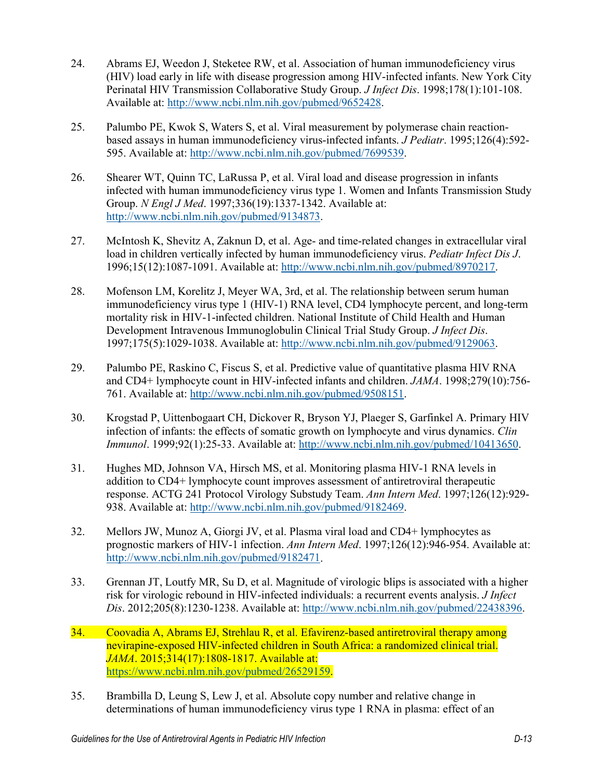- <span id="page-12-0"></span>24. Abrams EJ, Weedon J, Steketee RW, et al. Association of human immunodeficiency virus (HIV) load early in life with disease progression among HIV-infected infants. New York City Perinatal HIV Transmission Collaborative Study Group. *J Infect Dis*. 1998;178(1):101-108. Available at: [http://www.ncbi.nlm.nih.gov/pubmed/9652428.](http://www.ncbi.nlm.nih.gov/pubmed/9652428)
- <span id="page-12-1"></span>25. Palumbo PE, Kwok S, Waters S, et al. Viral measurement by polymerase chain reactionbased assays in human immunodeficiency virus-infected infants. *J Pediatr*. 1995;126(4):592- 595. Available at: [http://www.ncbi.nlm.nih.gov/pubmed/7699539.](http://www.ncbi.nlm.nih.gov/pubmed/7699539)
- <span id="page-12-2"></span>26. Shearer WT, Quinn TC, LaRussa P, et al. Viral load and disease progression in infants infected with human immunodeficiency virus type 1. Women and Infants Transmission Study Group. *N Engl J Med*. 1997;336(19):1337-1342. Available at: [http://www.ncbi.nlm.nih.gov/pubmed/9134873.](http://www.ncbi.nlm.nih.gov/pubmed/9134873)
- 27. McIntosh K, Shevitz A, Zaknun D, et al. Age- and time-related changes in extracellular viral load in children vertically infected by human immunodeficiency virus. *Pediatr Infect Dis J*. 1996;15(12):1087-1091. Available at: [http://www.ncbi.nlm.nih.gov/pubmed/8970217.](http://www.ncbi.nlm.nih.gov/pubmed/8970217)
- <span id="page-12-4"></span>28. Mofenson LM, Korelitz J, Meyer WA, 3rd, et al. The relationship between serum human immunodeficiency virus type 1 (HIV-1) RNA level, CD4 lymphocyte percent, and long-term mortality risk in HIV-1-infected children. National Institute of Child Health and Human Development Intravenous Immunoglobulin Clinical Trial Study Group. *J Infect Dis*. 1997;175(5):1029-1038. Available at: [http://www.ncbi.nlm.nih.gov/pubmed/9129063.](http://www.ncbi.nlm.nih.gov/pubmed/9129063)
- <span id="page-12-5"></span>29. Palumbo PE, Raskino C, Fiscus S, et al. Predictive value of quantitative plasma HIV RNA and CD4+ lymphocyte count in HIV-infected infants and children. *JAMA*. 1998;279(10):756- 761. Available at: [http://www.ncbi.nlm.nih.gov/pubmed/9508151.](http://www.ncbi.nlm.nih.gov/pubmed/9508151)
- <span id="page-12-3"></span>30. Krogstad P, Uittenbogaart CH, Dickover R, Bryson YJ, Plaeger S, Garfinkel A. Primary HIV infection of infants: the effects of somatic growth on lymphocyte and virus dynamics. *Clin Immunol*. 1999;92(1):25-33. Available at: [http://www.ncbi.nlm.nih.gov/pubmed/10413650.](http://www.ncbi.nlm.nih.gov/pubmed/10413650)
- <span id="page-12-6"></span>31. Hughes MD, Johnson VA, Hirsch MS, et al. Monitoring plasma HIV-1 RNA levels in addition to CD4+ lymphocyte count improves assessment of antiretroviral therapeutic response. ACTG 241 Protocol Virology Substudy Team. *Ann Intern Med*. 1997;126(12):929- 938. Available at: [http://www.ncbi.nlm.nih.gov/pubmed/9182469.](http://www.ncbi.nlm.nih.gov/pubmed/9182469)
- <span id="page-12-7"></span>32. Mellors JW, Munoz A, Giorgi JV, et al. Plasma viral load and CD4+ lymphocytes as prognostic markers of HIV-1 infection. *Ann Intern Med*. 1997;126(12):946-954. Available at: [http://www.ncbi.nlm.nih.gov/pubmed/9182471.](http://www.ncbi.nlm.nih.gov/pubmed/9182471)
- <span id="page-12-8"></span>33. Grennan JT, Loutfy MR, Su D, et al. Magnitude of virologic blips is associated with a higher risk for virologic rebound in HIV-infected individuals: a recurrent events analysis. *J Infect Dis*. 2012;205(8):1230-1238. Available at: [http://www.ncbi.nlm.nih.gov/pubmed/22438396.](http://www.ncbi.nlm.nih.gov/pubmed/22438396)
- <span id="page-12-9"></span>34. Coovadia A, Abrams EJ, Strehlau R, et al. Efavirenz-based antiretroviral therapy among nevirapine-exposed HIV-infected children in South Africa: a randomized clinical trial. *JAMA*. 2015;314(17):1808-1817. Available at: [https://www.ncbi.nlm.nih.gov/pubmed/26529159.](https://www.ncbi.nlm.nih.gov/pubmed/26529159)
- <span id="page-12-10"></span>35. Brambilla D, Leung S, Lew J, et al. Absolute copy number and relative change in determinations of human immunodeficiency virus type 1 RNA in plasma: effect of an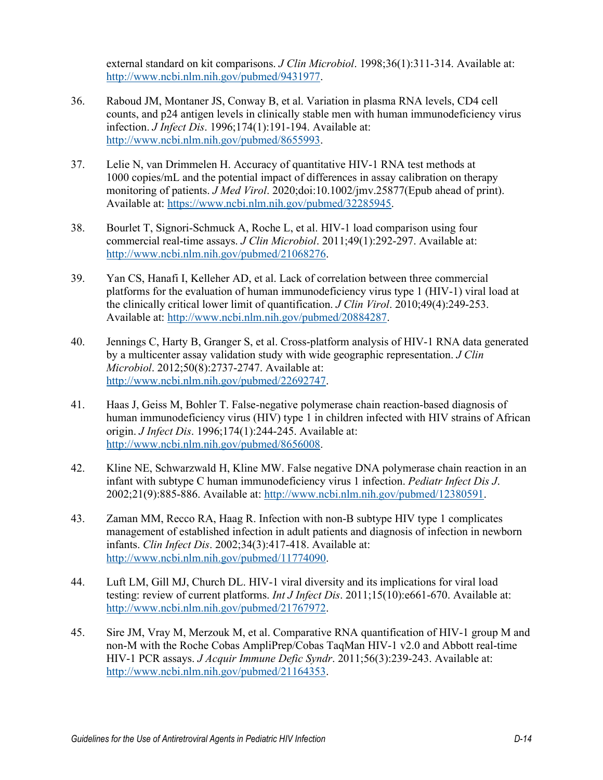external standard on kit comparisons. *J Clin Microbiol*. 1998;36(1):311-314. Available at: [http://www.ncbi.nlm.nih.gov/pubmed/9431977.](http://www.ncbi.nlm.nih.gov/pubmed/9431977)

- <span id="page-13-2"></span>36. Raboud JM, Montaner JS, Conway B, et al. Variation in plasma RNA levels, CD4 cell counts, and p24 antigen levels in clinically stable men with human immunodeficiency virus infection. *J Infect Dis*. 1996;174(1):191-194. Available at: [http://www.ncbi.nlm.nih.gov/pubmed/8655993.](http://www.ncbi.nlm.nih.gov/pubmed/8655993)
- 37. Lelie N, van Drimmelen H. Accuracy of quantitative HIV-1 RNA test methods at 1000 copies/mL and the potential impact of differences in assay calibration on therapy monitoring of patients. *J Med Virol*. 2020;doi:10.1002/jmv.25877(Epub ahead of print). Available at: [https://www.ncbi.nlm.nih.gov/pubmed/32285945.](https://www.ncbi.nlm.nih.gov/pubmed/32285945)
- <span id="page-13-0"></span>38. Bourlet T, Signori-Schmuck A, Roche L, et al. HIV-1 load comparison using four commercial real-time assays. *J Clin Microbiol*. 2011;49(1):292-297. Available at: [http://www.ncbi.nlm.nih.gov/pubmed/21068276.](http://www.ncbi.nlm.nih.gov/pubmed/21068276)
- 39. Yan CS, Hanafi I, Kelleher AD, et al. Lack of correlation between three commercial platforms for the evaluation of human immunodeficiency virus type 1 (HIV-1) viral load at the clinically critical lower limit of quantification. *J Clin Virol*. 2010;49(4):249-253. Available at: [http://www.ncbi.nlm.nih.gov/pubmed/20884287.](http://www.ncbi.nlm.nih.gov/pubmed/20884287)
- 40. Jennings C, Harty B, Granger S, et al. Cross-platform analysis of HIV-1 RNA data generated by a multicenter assay validation study with wide geographic representation. *J Clin Microbiol*. 2012;50(8):2737-2747. Available at: [http://www.ncbi.nlm.nih.gov/pubmed/22692747.](http://www.ncbi.nlm.nih.gov/pubmed/22692747)
- <span id="page-13-1"></span>41. Haas J, Geiss M, Bohler T. False-negative polymerase chain reaction-based diagnosis of human immunodeficiency virus (HIV) type 1 in children infected with HIV strains of African origin. *J Infect Dis*. 1996;174(1):244-245. Available at: [http://www.ncbi.nlm.nih.gov/pubmed/8656008.](http://www.ncbi.nlm.nih.gov/pubmed/8656008)
- 42. Kline NE, Schwarzwald H, Kline MW. False negative DNA polymerase chain reaction in an infant with subtype C human immunodeficiency virus 1 infection. *Pediatr Infect Dis J*. 2002;21(9):885-886. Available at: [http://www.ncbi.nlm.nih.gov/pubmed/12380591.](http://www.ncbi.nlm.nih.gov/pubmed/12380591)
- 43. Zaman MM, Recco RA, Haag R. Infection with non-B subtype HIV type 1 complicates management of established infection in adult patients and diagnosis of infection in newborn infants. *Clin Infect Dis*. 2002;34(3):417-418. Available at: [http://www.ncbi.nlm.nih.gov/pubmed/11774090.](http://www.ncbi.nlm.nih.gov/pubmed/11774090)
- 44. Luft LM, Gill MJ, Church DL. HIV-1 viral diversity and its implications for viral load testing: review of current platforms. *Int J Infect Dis*. 2011;15(10):e661-670. Available at: [http://www.ncbi.nlm.nih.gov/pubmed/21767972.](http://www.ncbi.nlm.nih.gov/pubmed/21767972)
- 45. Sire JM, Vray M, Merzouk M, et al. Comparative RNA quantification of HIV-1 group M and non-M with the Roche Cobas AmpliPrep/Cobas TaqMan HIV-1 v2.0 and Abbott real-time HIV-1 PCR assays. *J Acquir Immune Defic Syndr*. 2011;56(3):239-243. Available at: [http://www.ncbi.nlm.nih.gov/pubmed/21164353.](http://www.ncbi.nlm.nih.gov/pubmed/21164353)